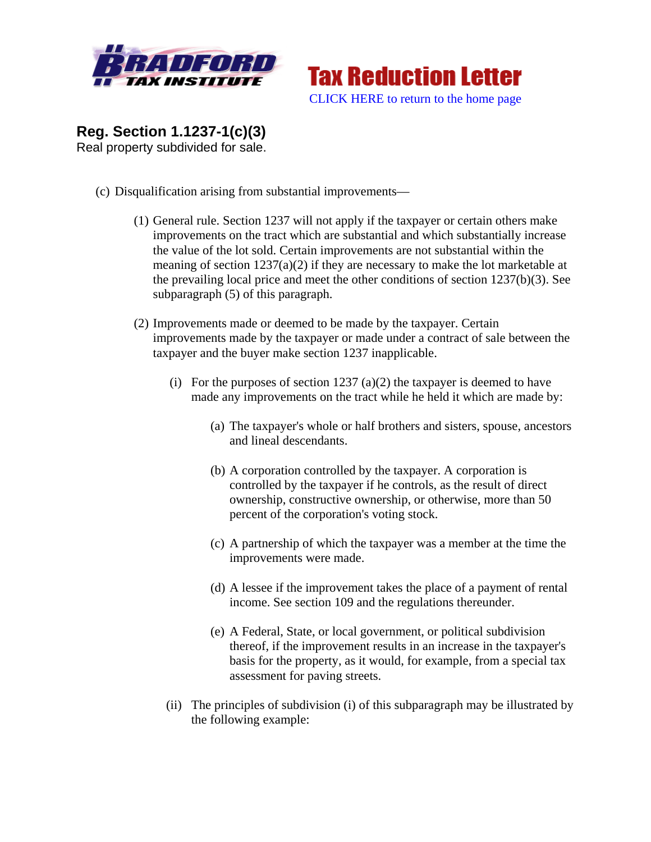



**Reg. Section 1.1237-1(c)(3)**  Real property subdivided for sale.

- (c) Disqualification arising from substantial improvements—
	- (1) General rule. Section 1237 will not apply if the taxpayer or certain others make improvements on the tract which are substantial and which substantially increase the value of the lot sold. Certain improvements are not substantial within the meaning of section 1237(a)(2) if they are necessary to make the lot marketable at the prevailing local price and meet the other conditions of section 1237(b)(3). See subparagraph (5) of this paragraph.
	- (2) Improvements made or deemed to be made by the taxpayer. Certain improvements made by the taxpayer or made under a contract of sale between the taxpayer and the buyer make section 1237 inapplicable.
		- (i) For the purposes of section  $1237$  (a)(2) the taxpayer is deemed to have made any improvements on the tract while he held it which are made by:
			- (a) The taxpayer's whole or half brothers and sisters, spouse, ancestors and lineal descendants.
			- (b) A corporation controlled by the taxpayer. A corporation is controlled by the taxpayer if he controls, as the result of direct ownership, constructive ownership, or otherwise, more than 50 percent of the corporation's voting stock.
			- (c) A partnership of which the taxpayer was a member at the time the improvements were made.
			- (d) A lessee if the improvement takes the place of a payment of rental income. See section 109 and the regulations thereunder.
			- (e) A Federal, State, or local government, or political subdivision thereof, if the improvement results in an increase in the taxpayer's basis for the property, as it would, for example, from a special tax assessment for paving streets.
		- (ii) The principles of subdivision (i) of this subparagraph may be illustrated by the following example: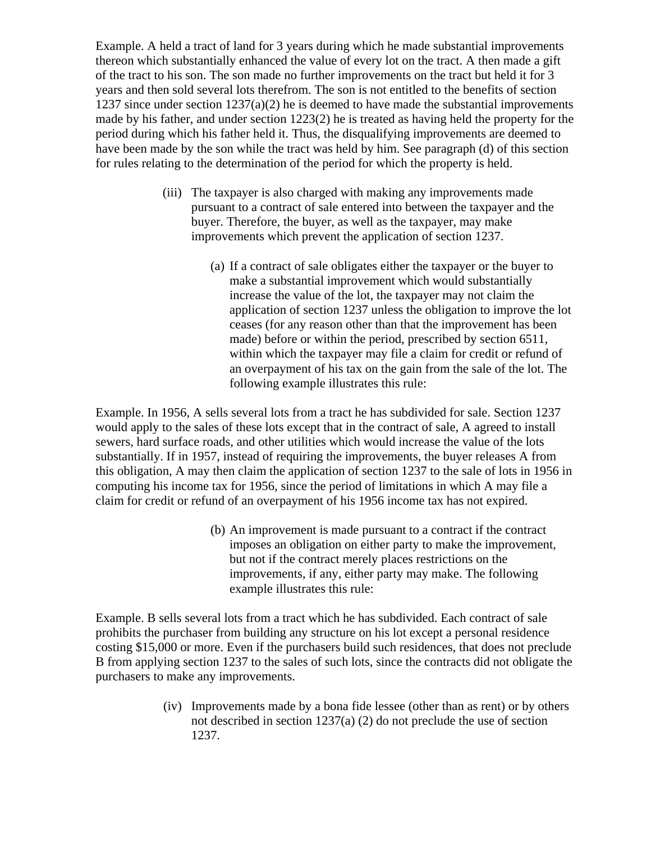Example. A held a tract of land for 3 years during which he made substantial improvements thereon which substantially enhanced the value of every lot on the tract. A then made a gift of the tract to his son. The son made no further improvements on the tract but held it for 3 years and then sold several lots therefrom. The son is not entitled to the benefits of section 1237 since under section  $1237(a)(2)$  he is deemed to have made the substantial improvements made by his father, and under section 1223(2) he is treated as having held the property for the period during which his father held it. Thus, the disqualifying improvements are deemed to have been made by the son while the tract was held by him. See paragraph (d) of this section for rules relating to the determination of the period for which the property is held.

- (iii) The taxpayer is also charged with making any improvements made pursuant to a contract of sale entered into between the taxpayer and the buyer. Therefore, the buyer, as well as the taxpayer, may make improvements which prevent the application of section 1237.
	- (a) If a contract of sale obligates either the taxpayer or the buyer to make a substantial improvement which would substantially increase the value of the lot, the taxpayer may not claim the application of section 1237 unless the obligation to improve the lot ceases (for any reason other than that the improvement has been made) before or within the period, prescribed by section 6511, within which the taxpayer may file a claim for credit or refund of an overpayment of his tax on the gain from the sale of the lot. The following example illustrates this rule:

Example. In 1956, A sells several lots from a tract he has subdivided for sale. Section 1237 would apply to the sales of these lots except that in the contract of sale, A agreed to install sewers, hard surface roads, and other utilities which would increase the value of the lots substantially. If in 1957, instead of requiring the improvements, the buyer releases A from this obligation, A may then claim the application of section 1237 to the sale of lots in 1956 in computing his income tax for 1956, since the period of limitations in which A may file a claim for credit or refund of an overpayment of his 1956 income tax has not expired.

> (b) An improvement is made pursuant to a contract if the contract imposes an obligation on either party to make the improvement, but not if the contract merely places restrictions on the improvements, if any, either party may make. The following example illustrates this rule:

Example. B sells several lots from a tract which he has subdivided. Each contract of sale prohibits the purchaser from building any structure on his lot except a personal residence costing \$15,000 or more. Even if the purchasers build such residences, that does not preclude B from applying section 1237 to the sales of such lots, since the contracts did not obligate the purchasers to make any improvements.

> (iv) Improvements made by a bona fide lessee (other than as rent) or by others not described in section 1237(a) (2) do not preclude the use of section 1237.